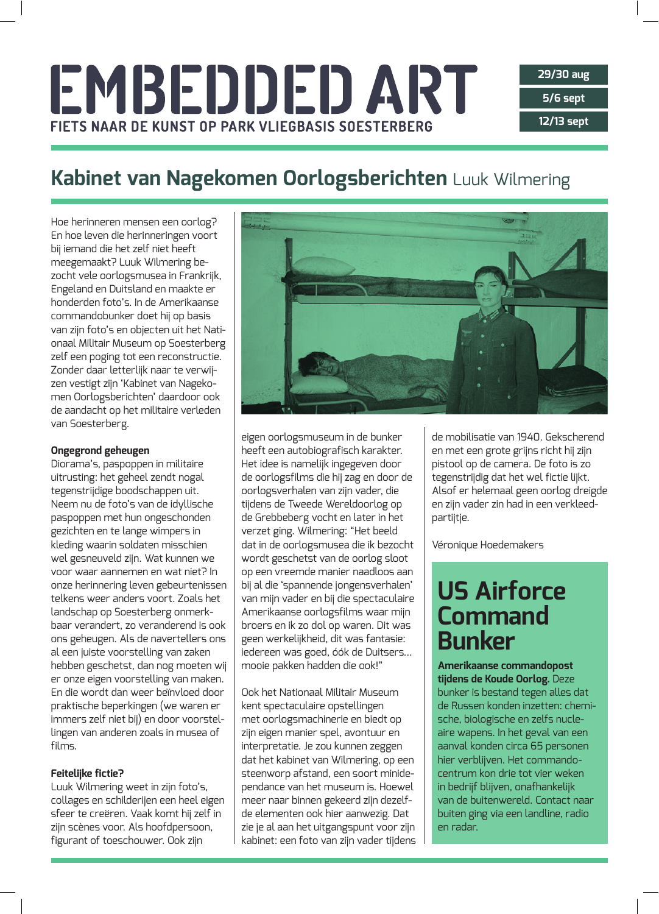# EMBEDDED ART FIETS NAAR DE KUNST OP PARK VLIEGBASIS SOESTERBERG

## Kabinet van Nagekomen Oorlogsberichten Luuk Wilmering

Hoe herinneren mensen een oorlog? En hoe leven die herinneringen voort bij iemand die het zelf niet heeft meegemaakt? Luuk Wilmering bezocht vele oorlogsmusea in Frankrijk, Engeland en Duitsland en maakte er honderden foto's. In de Amerikaanse commandobunker doet hij op basis van zijn foto's en objecten uit het Nationaal Militair Museum op Soesterberg zelf een poging tot een reconstructie. Zonder daar letterlijk naar te verwijzen vestigt zijn 'Kabinet van Nagekomen Oorlogsberichten' daardoor ook de aandacht op het militaire verleden van Soesterberg.

#### **Ongegrond geheugen**

Diorama's, paspoppen in militaire uitrusting: het geheel zendt nogal tegenstrijdige boodschappen uit. Neem nu de foto's van de idyllische paspoppen met hun ongeschonden gezichten en te lange wimpers in kleding waarin soldaten misschien wel gesneuveld zijn. Wat kunnen we voor waar aannemen en wat niet? In onze herinnering leven gebeurtenissen telkens weer anders voort. Zoals het landschap op Soesterberg onmerkbaar verandert, zo veranderend is ook ons geheugen. Als de navertellers ons al een juiste voorstelling van zaken hebben geschetst, dan nog moeten wij er onze eigen voorstelling van maken. En die wordt dan weer beïnvloed door praktische beperkingen (we waren er immers zelf niet bij) en door voorstellingen van anderen zoals in musea of films.

#### Feitelijke fictie?

Luuk Wilmering weet in zijn foto's, collages en schilderijen een heel eigen sfeer te creëren. Vaak komt hij zelf in zijn scènes voor. Als hoofdpersoon, figurant of toeschouwer. Ook zijn



eigen oorlogsmuseum in de bunker heeft een autobiografisch karakter. Het idee is namelijk ingegeven door de oorlogsfilms die hij zag en door de oorlogsverhalen van zijn vader, die tijdens de Tweede Wereldoorlog op de Grebbeberg vocht en later in het verzet ging. Wilmering: "Het beeld dat in de oorlogsmusea die ik bezocht wordt geschetst van de oorlog sloot op een vreemde manier naadloos aan bij al die 'spannende jongensverhalen' van mijn vader en bij die spectaculaire Amerikaanse oorlogsfilms waar mijn broers en ik zo dol op waren. Dit was geen werkelijkheid, dit was fantasie: iedereen was goed, óók de Duitsers... mooie pakken hadden die ook!"

Ook het Nationaal Militair Museum kent spectaculaire opstellingen met oorlogsmachinerie en biedt op zijn eigen manier spel, avontuur en interpretatie. Je zou kunnen zeggen dat het kabinet van Wilmering, op een steenworp afstand, een soort minidependance van het museum is. Hoewel meer naar binnen gekeerd zijn dezelfde elementen ook hier aanwezig. Dat zie je al aan het uitgangspunt voor zijn kabinet: een foto van zijn vader tijdens

de mobilisatie van 1940. Gekscherend en met een grote grijns richt hij zijn pistool op de camera. De foto is zo tegenstrijdig dat het wel fictie lijkt. Alsof er helemaal geen oorlog dreigde en zijn vader zin had in een verkleedpartijtje.

Véronique Hoedemakers

## **US Airforce Command Bunker**

Amerikaanse commandopost tijdens de Koude Oorlog. Deze bunker is bestand tegen alles dat de Russen konden inzetten: chemische, biologische en zelfs nucleaire wapens. In het geval van een aanval konden circa 65 personen hier verblijven. Het commandocentrum kon drie tot vier weken in bedrijf blijven, onafhankelijk van de buitenwereld. Contact naar buiten ging via een landline, radio en radar.